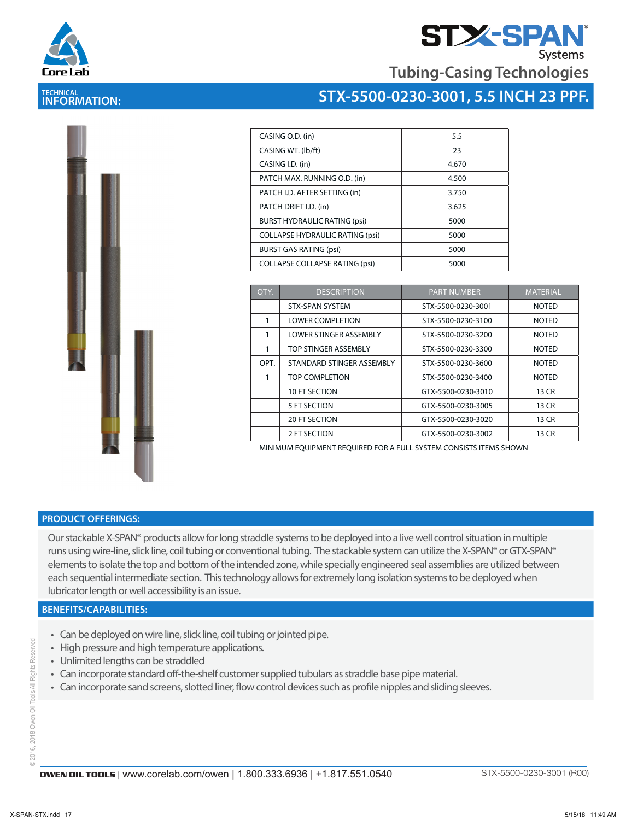

**TECHNICAL INFORMATION:** 

# **STX-SPA**

**Tubing-Casing Technologies**

## **STX-5500-0230-3001, 5.5 INCH 23 PPF.**



| CASING O.D. (in)                       | 5.5   |
|----------------------------------------|-------|
| CASING WT. (Ib/ft)                     | 23    |
| CASING I.D. (in)                       | 4.670 |
| PATCH MAX. RUNNING O.D. (in)           | 4.500 |
| PATCH I.D. AFTER SETTING (in)          | 3.750 |
| PATCH DRIFT I.D. (in)                  | 3.625 |
| <b>BURST HYDRAULIC RATING (psi)</b>    | 5000  |
| <b>COLLAPSE HYDRAULIC RATING (psi)</b> | 5000  |
| <b>BURST GAS RATING (psi)</b>          | 5000  |
| <b>COLLAPSE COLLAPSE RATING (psi)</b>  | 5000  |

| OTY. | <b>DESCRIPTION</b>            | <b>PART NUMBER</b> | <b>MATERIAL</b> |
|------|-------------------------------|--------------------|-----------------|
|      | <b>STX-SPAN SYSTEM</b>        | STX-5500-0230-3001 | <b>NOTED</b>    |
|      | <b>LOWER COMPLETION</b>       | STX-5500-0230-3100 | <b>NOTED</b>    |
| 1    | <b>LOWER STINGER ASSEMBLY</b> | STX-5500-0230-3200 | <b>NOTED</b>    |
|      | TOP STINGER ASSEMBLY          | STX-5500-0230-3300 | <b>NOTED</b>    |
| OPT. | STANDARD STINGER ASSEMBLY     | STX-5500-0230-3600 | <b>NOTED</b>    |
|      | TOP COMPLETION                | STX-5500-0230-3400 | <b>NOTED</b>    |
|      | 10 FT SECTION                 | GTX-5500-0230-3010 | 13 CR           |
|      | 5 FT SECTION                  | GTX-5500-0230-3005 | 13 CR           |
|      | <b>20 FT SECTION</b>          | GTX-5500-0230-3020 | 13 CR           |
|      | 2 FT SECTION                  | GTX-5500-0230-3002 | 13 CR           |

MINIMUM EQUIPMENT REQUIRED FOR A FULL SYSTEM CONSISTS ITEMS SHOWN

#### **PRODUCT OFFERINGS:**

Our stackable X-SPAN® products allow for long straddle systems to be deployed into a live well control situation in multiple runs using wire-line, slick line, coil tubing or conventional tubing. The stackable system can utilize the X-SPAN® or GTX-SPAN® elements to isolate the top and bottom of the intended zone, while specially engineered seal assemblies are utilized between each sequential intermediate section. This technology allows for extremely long isolation systems to be deployed when lubricator length or well accessibility is an issue.

#### **BENEFITS/CAPABILITIES:**

- Can be deployed on wire line, slick line, coil tubing or jointed pipe.
- High pressure and high temperature applications.
- Unlimited lengths can be straddled
- Can incorporate standard off-the-shelf customer supplied tubulars as straddle base pipe material.
- Can incorporate sand screens, slotted liner, flow control devices such as profile nipples and sliding sleeves.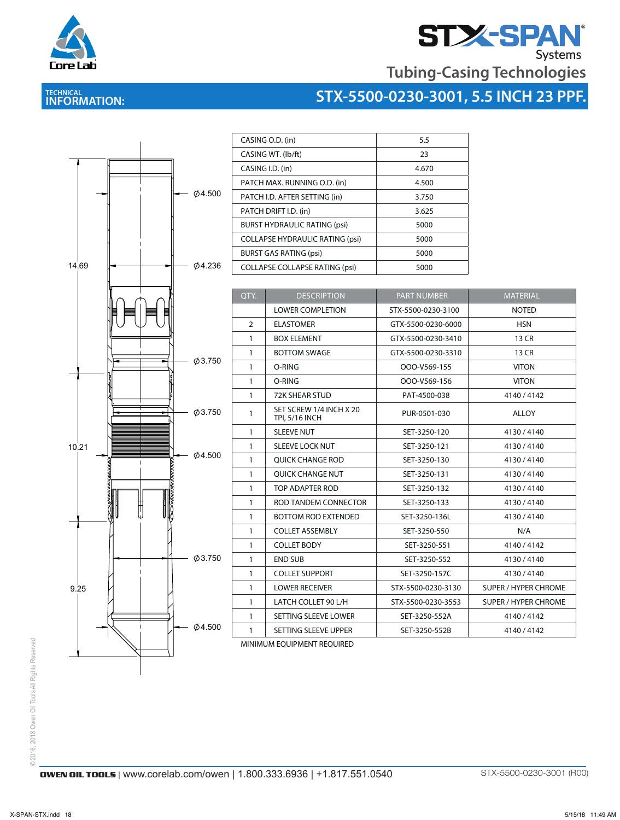

# **STASPAN**<br>Tubing-Casing Technologies

### **TECHNICAL INFORMATION:**





| 5.5   |
|-------|
| 23    |
| 4.670 |
| 4.500 |
| 3.750 |
| 3.625 |
| 5000  |
| 5000  |
| 5000  |
| 5000  |
|       |

| QTY.           | <b>DESCRIPTION</b>                               | <b>PART NUMBER</b> | <b>MATERIAL</b>             |
|----------------|--------------------------------------------------|--------------------|-----------------------------|
|                | <b>LOWER COMPLETION</b>                          | STX-5500-0230-3100 | <b>NOTED</b>                |
| $\overline{2}$ | <b>ELASTOMER</b>                                 | GTX-5500-0230-6000 | <b>HSN</b>                  |
| 1              | <b>BOX ELEMENT</b>                               | GTX-5500-0230-3410 | 13 CR                       |
| 1              | <b>BOTTOM SWAGE</b>                              | GTX-5500-0230-3310 | 13 CR                       |
| 1              | O-RING                                           | OOO-V569-155       | <b>VITON</b>                |
| 1              | O-RING                                           | OOO-V569-156       | <b>VITON</b>                |
| 1              | 72K SHEAR STUD                                   | PAT-4500-038       | 4140/4142                   |
| 1              | SET SCREW 1/4 INCH X 20<br><b>TPI, 5/16 INCH</b> | PUR-0501-030       | <b>ALLOY</b>                |
| $\mathbf{1}$   | <b>SLEEVE NUT</b>                                | SET-3250-120       | 4130/4140                   |
| 1              | <b>SLEEVE LOCK NUT</b>                           | SET-3250-121       | 4130/4140                   |
| $\mathbf{1}$   | QUICK CHANGE ROD                                 | SET-3250-130       | 4130/4140                   |
| $\mathbf{1}$   | <b>OUICK CHANGE NUT</b>                          | SET-3250-131       | 4130/4140                   |
| $\mathbf{1}$   | TOP ADAPTER ROD                                  | SET-3250-132       | 4130/4140                   |
| $\mathbf{1}$   | ROD TANDEM CONNECTOR                             | SET-3250-133       | 4130/4140                   |
| $\mathbf{1}$   | <b>BOTTOM ROD EXTENDED</b>                       | SET-3250-136L      | 4130/4140                   |
| $\mathbf{1}$   | <b>COLLET ASSEMBLY</b>                           | SET-3250-550       | N/A                         |
| $\mathbf{1}$   | <b>COLLET BODY</b>                               | SET-3250-551       | 4140/4142                   |
| $\mathbf{1}$   | <b>END SUB</b>                                   | SET-3250-552       | 4130/4140                   |
| $\mathbf{1}$   | <b>COLLET SUPPORT</b>                            | SET-3250-157C      | 4130/4140                   |
| $\mathbf{1}$   | <b>LOWER RECEIVER</b>                            | STX-5500-0230-3130 | <b>SUPER / HYPER CHROME</b> |
| $\mathbf{1}$   | LATCH COLLET 90 L/H                              | STX-5500-0230-3553 | <b>SUPER / HYPER CHROME</b> |
| 1              | SETTING SLEEVE LOWER                             | SET-3250-552A      | 4140/4142                   |
| 1              | SETTING SLEEVE UPPER                             | SET-3250-552B      | 4140/4142                   |

MINIMUM EQUIPMENT REQUIRED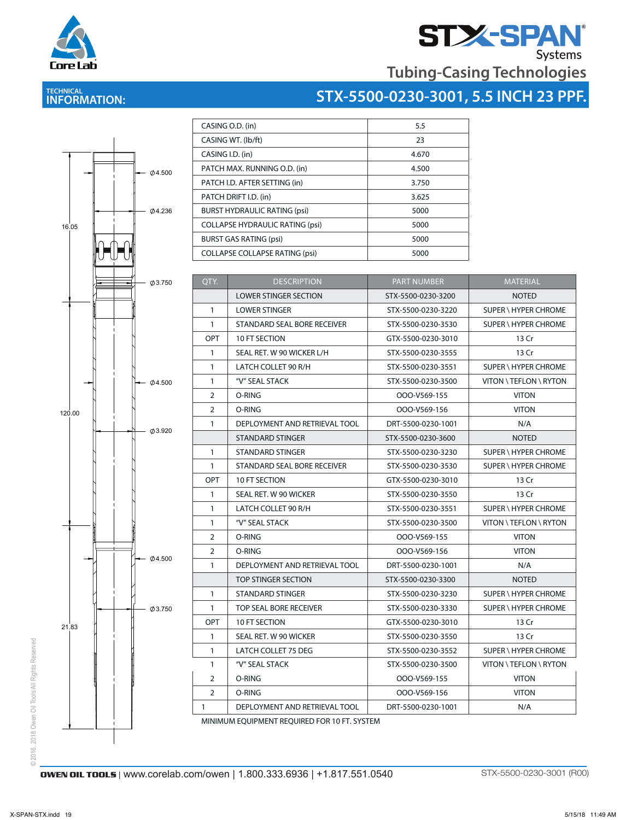



## **STX-5500-0230-3001, 5.5 INCH 23 PPF.**



| CASING O.D. (in)                       | 5.5   |
|----------------------------------------|-------|
| CASING WT. (Ib/ft)                     | 23    |
| CASING I.D. (in)                       | 4.670 |
| PATCH MAX. RUNNING O.D. (in)           | 4.500 |
| PATCH I.D. AFTER SETTING (in)          | 3.750 |
| PATCH DRIFT I.D. (in)                  | 3.625 |
| <b>BURST HYDRAULIC RATING (psi)</b>    | 5000  |
| <b>COLLAPSE HYDRAULIC RATING (psi)</b> | 5000  |
| <b>BURST GAS RATING (psi)</b>          | 5000  |
| <b>COLLAPSE COLLAPSE RATING (psi)</b>  | 5000  |
|                                        |       |

| QTY.                                         | <b>DESCRIPTION</b>            | <b>PART NUMBER</b> | <b>MATERIAL</b>             |  |  |
|----------------------------------------------|-------------------------------|--------------------|-----------------------------|--|--|
|                                              | <b>LOWER STINGER SECTION</b>  | STX-5500-0230-3200 | <b>NOTED</b>                |  |  |
| $\mathbf{1}$                                 | <b>LOWER STINGER</b>          | STX-5500-0230-3220 | SUPER \ HYPER CHROME        |  |  |
| $\mathbf{1}$                                 | STANDARD SEAL BORE RECEIVER   | STX-5500-0230-3530 | SUPER \ HYPER CHROME        |  |  |
| OPT                                          | 10 FT SECTION                 | GTX-5500-0230-3010 | 13 Cr                       |  |  |
| 1                                            | SEAL RET. W 90 WICKER L/H     | STX-5500-0230-3555 | 13 Cr                       |  |  |
| $\mathbf{1}$                                 | LATCH COLLET 90 R/H           | STX-5500-0230-3551 | SUPER \ HYPER CHROME        |  |  |
| $\mathbf{1}$                                 | "V" SEAL STACK                | STX-5500-0230-3500 | VITON \ TEFLON \ RYTON      |  |  |
| 2                                            | O-RING                        | OOO-V569-155       | <b>VITON</b>                |  |  |
| 2                                            | O-RING                        | OOO-V569-156       | <b>VITON</b>                |  |  |
| $\mathbf{1}$                                 | DEPLOYMENT AND RETRIEVAL TOOL | DRT-5500-0230-1001 | N/A                         |  |  |
|                                              | STANDARD STINGER              | STX-5500-0230-3600 | <b>NOTED</b>                |  |  |
| $\mathbf{1}$                                 | STANDARD STINGER              | STX-5500-0230-3230 | <b>SUPER \ HYPER CHROME</b> |  |  |
| 1                                            | STANDARD SEAL BORE RECEIVER   | STX-5500-0230-3530 | SUPER \ HYPER CHROME        |  |  |
| OPT                                          | <b>10 FT SECTION</b>          | GTX-5500-0230-3010 | 13 Cr                       |  |  |
| $\mathbf{1}$                                 | SEAL RET. W 90 WICKER         | STX-5500-0230-3550 | 13 Cr                       |  |  |
| $\mathbf{1}$                                 | LATCH COLLET 90 R/H           | STX-5500-0230-3551 | SUPER \ HYPER CHROME        |  |  |
| $\mathbf{1}$                                 | "V" SEAL STACK                | STX-5500-0230-3500 | VITON \ TEFLON \ RYTON      |  |  |
| $\overline{2}$                               | O-RING                        | OOO-V569-155       | <b>VITON</b>                |  |  |
| $\overline{2}$                               | O-RING                        | OOO-V569-156       | <b>VITON</b>                |  |  |
| 1                                            | DEPLOYMENT AND RETRIEVAL TOOL | DRT-5500-0230-1001 | N/A                         |  |  |
|                                              | <b>TOP STINGER SECTION</b>    | STX-5500-0230-3300 | <b>NOTED</b>                |  |  |
| 1                                            | STANDARD STINGER              | STX-5500-0230-3230 | <b>SUPER \ HYPER CHROME</b> |  |  |
| $\mathbf{1}$                                 | TOP SEAL BORE RECEIVER        | STX-5500-0230-3330 | SUPER \ HYPER CHROME        |  |  |
| <b>OPT</b>                                   | 10 FT SECTION                 | GTX-5500-0230-3010 | 13 Cr                       |  |  |
| $\mathbf{1}$                                 | SEAL RET. W 90 WICKER         | STX-5500-0230-3550 | 13 Cr                       |  |  |
| $\mathbf{1}$                                 | LATCH COLLET 75 DEG           | STX-5500-0230-3552 | <b>SUPER \ HYPER CHROME</b> |  |  |
| $\mathbf{1}$                                 | "V" SEAL STACK                | STX-5500-0230-3500 | VITON \ TEFLON \ RYTON      |  |  |
| 2                                            | O-RING                        | OOO-V569-155       | <b>VITON</b>                |  |  |
| $\overline{2}$                               | O-RING                        | OOO-V569-156       | <b>VITON</b>                |  |  |
| $\mathbf{1}$                                 | DEPLOYMENT AND RETRIEVAL TOOL | DRT-5500-0230-1001 | N/A                         |  |  |
| MINIMUM EQUIDMENT REQUIRED FOR 10 FT. CVCTEM |                               |                    |                             |  |  |

MINIMUM EQUIPMENT REQUIRED FOR 10 FT. SYSTEM

@ 2016, 2018 Owen Oil Tools All Rights Reserved © 2016, 2018 Owen Oil Tools All Rights Reserved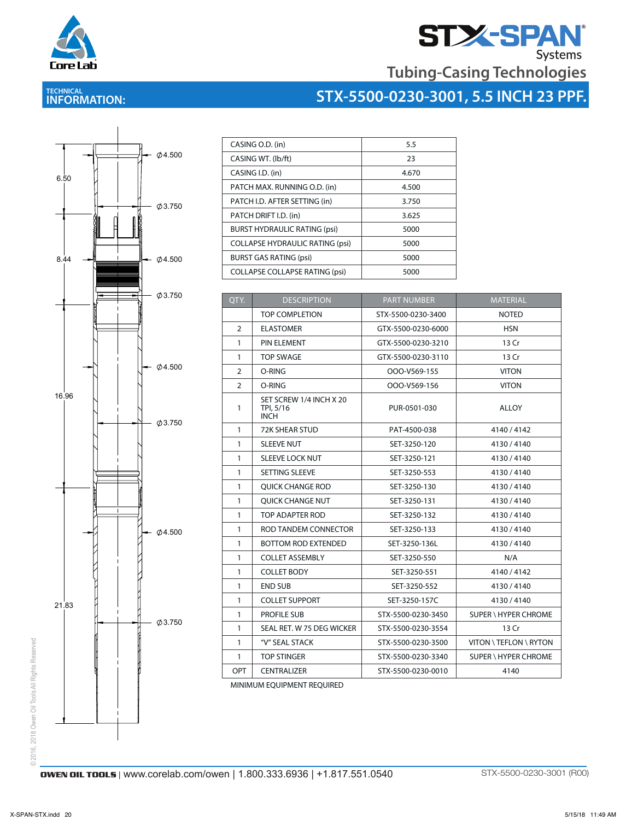

# **STX-SPAN**<br>Tubing-Casing Technologies

### **TECHNICAL INFORMATION:**





| CASING O.D. (in)                       | 5.5   |
|----------------------------------------|-------|
| CASING WT. (lb/ft)                     | 23    |
| CASING I.D. (in)                       | 4.670 |
| PATCH MAX. RUNNING O.D. (in)           | 4.500 |
| PATCH I.D. AFTER SETTING (in)          | 3.750 |
| PATCH DRIFT I.D. (in)                  | 3.625 |
| <b>BURST HYDRAULIC RATING (psi)</b>    | 5000  |
| <b>COLLAPSE HYDRAULIC RATING (psi)</b> | 5000  |
| <b>BURST GAS RATING (psi)</b>          | 5000  |
| <b>COLLAPSE COLLAPSE RATING (psi)</b>  | 5000  |

| QTY.           | <b>DESCRIPTION</b>                                  | <b>PART NUMBER</b> | <b>MATERIAL</b>             |
|----------------|-----------------------------------------------------|--------------------|-----------------------------|
|                | <b>TOP COMPLETION</b>                               | STX-5500-0230-3400 | <b>NOTED</b>                |
| 2              | <b>ELASTOMER</b>                                    | GTX-5500-0230-6000 | <b>HSN</b>                  |
| $\mathbf{1}$   | <b>PIN ELEMENT</b>                                  | GTX-5500-0230-3210 | 13 Cr                       |
| $\mathbf{1}$   | <b>TOP SWAGE</b>                                    | GTX-5500-0230-3110 | 13 Cr                       |
| 2              | O-RING                                              | OOO-V569-155       | <b>VITON</b>                |
| $\overline{2}$ | O-RING                                              | OOO-V569-156       | <b>VITON</b>                |
| 1              | SET SCREW 1/4 INCH X 20<br>TPI, 5/16<br><b>INCH</b> | PUR-0501-030       | <b>ALLOY</b>                |
| $\mathbf{1}$   | 72K SHEAR STUD                                      | PAT-4500-038       | 4140/4142                   |
| $\mathbf{1}$   | <b>SLEEVE NUT</b>                                   | SET-3250-120       | 4130/4140                   |
| $\mathbf{1}$   | <b>SLEEVE LOCK NUT</b>                              | SET-3250-121       | 4130/4140                   |
| $\mathbf{1}$   | <b>SETTING SLEEVE</b>                               | SET-3250-553       | 4130/4140                   |
| $\mathbf{1}$   | <b>OUICK CHANGE ROD</b>                             | SET-3250-130       | 4130/4140                   |
| $\mathbf{1}$   | <b>OUICK CHANGE NUT</b>                             | SET-3250-131       | 4130/4140                   |
| $\mathbf{1}$   | TOP ADAPTER ROD                                     | SET-3250-132       | 4130/4140                   |
| $\mathbf{1}$   | ROD TANDEM CONNECTOR                                | SET-3250-133       | 4130/4140                   |
| $\mathbf{1}$   | <b>BOTTOM ROD EXTENDED</b>                          | SET-3250-136L      | 4130/4140                   |
| $\mathbf{1}$   | <b>COLLET ASSEMBLY</b>                              | SET-3250-550       | N/A                         |
| $\mathbf{1}$   | <b>COLLET BODY</b>                                  | SET-3250-551       | 4140/4142                   |
| $\mathbf{1}$   | <b>END SUB</b>                                      | SET-3250-552       | 4130/4140                   |
| $\mathbf{1}$   | <b>COLLET SUPPORT</b>                               | SET-3250-157C      | 4130/4140                   |
| $\mathbf{1}$   | <b>PROFILE SUB</b>                                  | STX-5500-0230-3450 | <b>SUPER \ HYPER CHROME</b> |
| $\mathbf{1}$   | SEAL RET. W 75 DEG WICKER                           | STX-5500-0230-3554 | 13 Cr                       |
| $\mathbf{1}$   | "V" SEAL STACK                                      | STX-5500-0230-3500 | VITON \ TEFLON \ RYTON      |
| $\mathbf{1}$   | <b>TOP STINGER</b>                                  | STX-5500-0230-3340 | <b>SUPER \ HYPER CHROME</b> |
| <b>OPT</b>     | <b>CENTRALIZER</b>                                  | STX-5500-0230-0010 | 4140                        |

MINIMUM EQUIPMENT REQUIRED

© 2016, 2018 Owen Oil Tools All Rights Reserved © 2016, 2018 Owen Oil Tools All Rights Reserved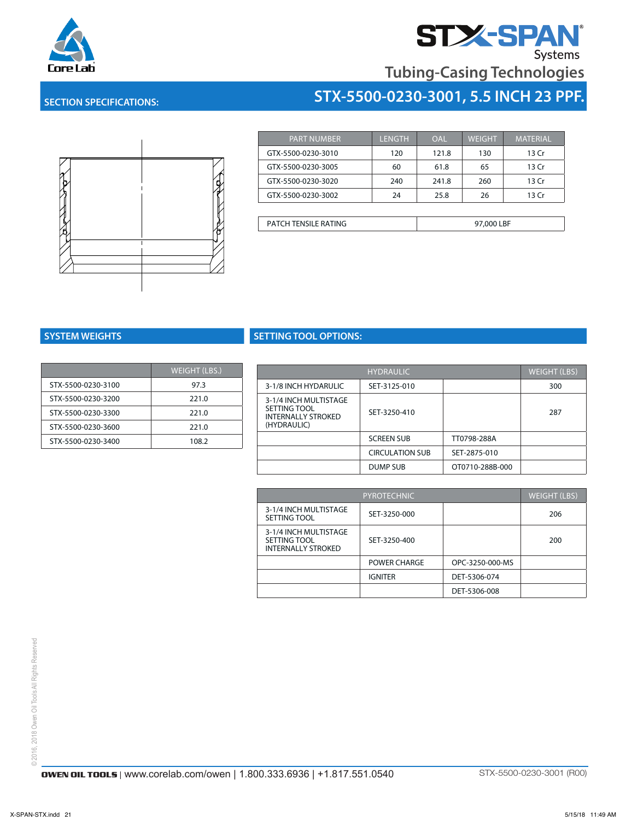

# **Tubing-Casing Technologies**

**STX-5500-0230-3001, 5.5 INCH 23 PPF.**

### **SECTION SPECIFICATIONS:**



| <b>PART NUMBER</b> | LENGTH | OAL   | <b>WEIGHT</b> | <b>MATERIAL</b> |
|--------------------|--------|-------|---------------|-----------------|
| GTX-5500-0230-3010 | 120    | 121.8 | 130           | 13 Cr           |
| GTX-5500-0230-3005 | 60     | 61.8  | 65            | 13 Cr           |
| GTX-5500-0230-3020 | 240    | 241.8 | 260           | 13 Cr           |
| GTX-5500-0230-3002 | 24     | 25.8  | 26            | 13 Cr           |

| PATCH TENSILE RATING | 97,000 LBF |
|----------------------|------------|
|----------------------|------------|

|                    | <b>WEIGHT (LBS.)</b> |  |
|--------------------|----------------------|--|
| STX-5500-0230-3100 | 97.3                 |  |
| STX-5500-0230-3200 | 221.0                |  |
| STX-5500-0230-3300 | 221.0                |  |
| STX-5500-0230-3600 | 221.0                |  |
| STX-5500-0230-3400 | 108.2                |  |

### **SYSTEM WEIGHTS SETTING TOOL OPTIONS:**

| <b>WEIGHT (LBS.)</b> |                                           | <b>HYDRAULIC</b>       |                 | <b>WEIGHT (LBS)</b> |
|----------------------|-------------------------------------------|------------------------|-----------------|---------------------|
| 97.3                 | 3-1/8 INCH HYDARULIC                      | SET-3125-010           |                 | 300                 |
| 221.0                | 3-1/4 INCH MULTISTAGE                     |                        |                 |                     |
| 221.0                | SETTING TOOL<br><b>INTERNALLY STROKED</b> | SET-3250-410           |                 | 287                 |
| 221.0                | (HYDRAULIC)                               |                        |                 |                     |
| 108.2                |                                           | <b>SCREEN SUB</b>      | TT0798-288A     |                     |
|                      |                                           | <b>CIRCULATION SUB</b> | SET-2875-010    |                     |
|                      |                                           | DUMP SUB               | OT0710-288B-000 |                     |

| <b>PYROTECHNIC</b>                                                 |                |                 | <b>WEIGHT (LBS)</b> |
|--------------------------------------------------------------------|----------------|-----------------|---------------------|
| 3-1/4 INCH MULTISTAGE<br>SETTING TOOL                              | SET-3250-000   |                 | 206                 |
| 3-1/4 INCH MULTISTAGE<br>SETTING TOOL<br><b>INTERNALLY STROKED</b> | SET-3250-400   |                 | 200                 |
|                                                                    | POWER CHARGE   | OPC-3250-000-MS |                     |
|                                                                    | <b>IGNITER</b> | DET-5306-074    |                     |
|                                                                    |                | DET-5306-008    |                     |